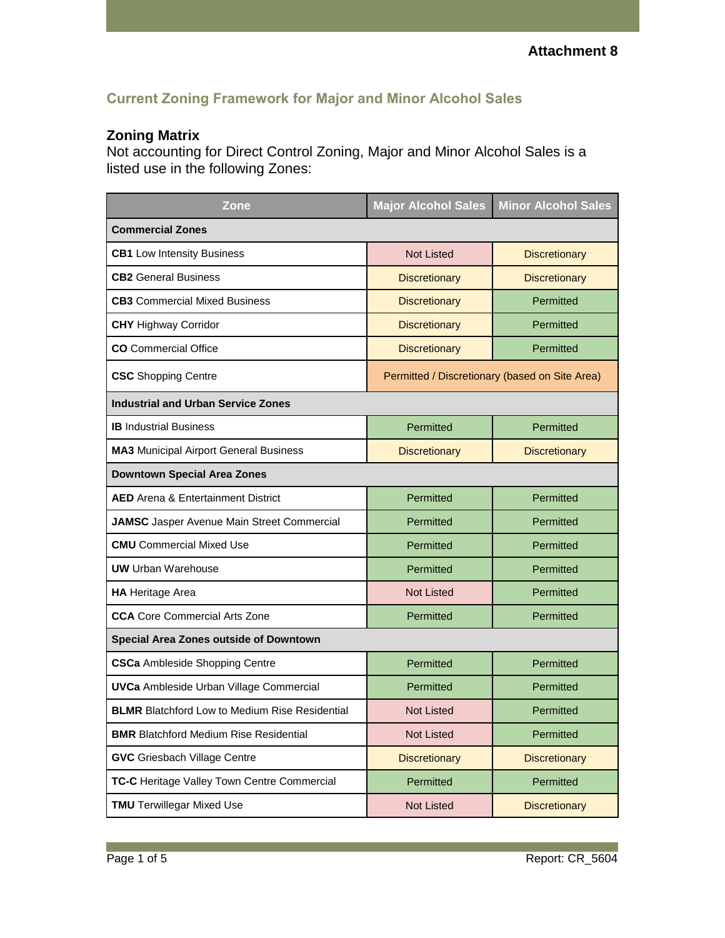## **Current Zoning Framework for Major and Minor Alcohol Sales**

## **Zoning Matrix**

Not accounting for Direct Control Zoning, Major and Minor Alcohol Sales is a listed use in the following Zones:

| Zone                                                  | <b>Major Alcohol Sales</b>                     | <b>Minor Alcohol Sales</b> |
|-------------------------------------------------------|------------------------------------------------|----------------------------|
| <b>Commercial Zones</b>                               |                                                |                            |
| <b>CB1</b> Low Intensity Business                     | <b>Not Listed</b>                              | <b>Discretionary</b>       |
| <b>CB2</b> General Business                           | <b>Discretionary</b>                           | <b>Discretionary</b>       |
| <b>CB3</b> Commercial Mixed Business                  | <b>Discretionary</b>                           | Permitted                  |
| <b>CHY Highway Corridor</b>                           | <b>Discretionary</b>                           | Permitted                  |
| <b>CO</b> Commercial Office                           | <b>Discretionary</b>                           | Permitted                  |
| <b>CSC</b> Shopping Centre                            | Permitted / Discretionary (based on Site Area) |                            |
| <b>Industrial and Urban Service Zones</b>             |                                                |                            |
| <b>IB</b> Industrial Business                         | Permitted                                      | Permitted                  |
| <b>MA3</b> Municipal Airport General Business         | <b>Discretionary</b>                           | <b>Discretionary</b>       |
| <b>Downtown Special Area Zones</b>                    |                                                |                            |
| <b>AED</b> Arena & Entertainment District             | Permitted                                      | Permitted                  |
| <b>JAMSC</b> Jasper Avenue Main Street Commercial     | Permitted                                      | Permitted                  |
| <b>CMU</b> Commercial Mixed Use                       | Permitted                                      | Permitted                  |
| <b>UW</b> Urban Warehouse                             | Permitted                                      | Permitted                  |
| <b>HA</b> Heritage Area                               | <b>Not Listed</b>                              | Permitted                  |
| <b>CCA</b> Core Commercial Arts Zone                  | Permitted                                      | Permitted                  |
| Special Area Zones outside of Downtown                |                                                |                            |
| <b>CSCa Ambleside Shopping Centre</b>                 | Permitted                                      | Permitted                  |
| <b>UVCa</b> Ambleside Urban Village Commercial        | Permitted                                      | Permitted                  |
| <b>BLMR</b> Blatchford Low to Medium Rise Residential | <b>Not Listed</b>                              | Permitted                  |
| <b>BMR</b> Blatchford Medium Rise Residential         | <b>Not Listed</b>                              | Permitted                  |
| <b>GVC</b> Griesbach Village Centre                   | <b>Discretionary</b>                           | <b>Discretionary</b>       |
| TC-C Heritage Valley Town Centre Commercial           | Permitted                                      | Permitted                  |
| <b>TMU</b> Terwillegar Mixed Use                      | <b>Not Listed</b>                              | <b>Discretionary</b>       |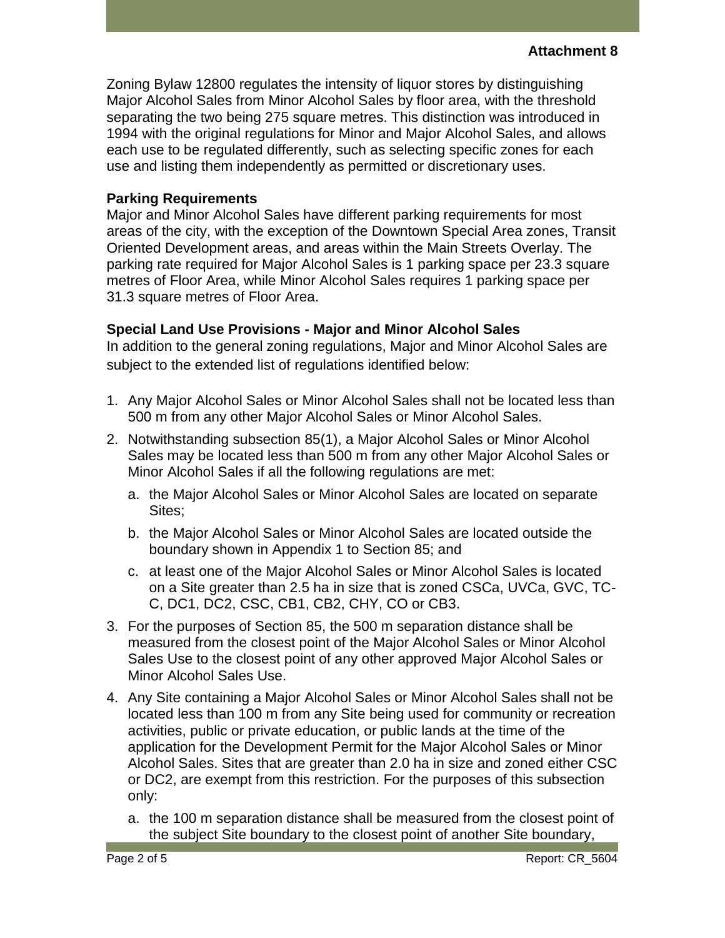Zoning Bylaw 12800 regulates the intensity of liquor stores by distinguishing Major Alcohol Sales from Minor Alcohol Sales by floor area, with the threshold separating the two being 275 square metres. This distinction was introduced in 1994 with the original regulations for Minor and Major Alcohol Sales, and allows each use to be regulated differently, such as selecting specific zones for each use and listing them independently as permitted or discretionary uses.

## **Parking Requirements**

Major and Minor Alcohol Sales have different parking requirements for most areas of the city, with the exception of the Downtown Special Area zones, Transit Oriented Development areas, and areas within the Main Streets Overlay. The parking rate required for Major Alcohol Sales is 1 parking space per 23.3 square metres of Floor Area, while Minor Alcohol Sales requires 1 parking space per 31.3 square metres of Floor Area.

## **Special Land Use Provisions - Major and Minor Alcohol Sales**

In addition to the general zoning regulations, Major and Minor Alcohol Sales are subject to the extended list of regulations identified below:

- 1. Any Major Alcohol Sales or Minor Alcohol Sales shall not be located less than 500 m from any other Major Alcohol Sales or Minor Alcohol Sales.
- 2. Notwithstanding subsection 85(1), a Major Alcohol Sales or Minor Alcohol Sales may be located less than 500 m from any other Major Alcohol Sales or Minor Alcohol Sales if all the following regulations are met:
	- a. the Major Alcohol Sales or Minor Alcohol Sales are located on separate Sites;
	- b. the Major Alcohol Sales or Minor Alcohol Sales are located outside the boundary shown in Appendix 1 to Section 85; and
	- c. at least one of the Major Alcohol Sales or Minor Alcohol Sales is located on a Site greater than 2.5 ha in size that is zoned CSCa, UVCa, GVC, TC-C, DC1, DC2, CSC, CB1, CB2, CHY, CO or CB3.
- 3. For the purposes of Section 85, the 500 m separation distance shall be measured from the closest point of the Major Alcohol Sales or Minor Alcohol Sales Use to the closest point of any other approved Major Alcohol Sales or Minor Alcohol Sales Use.
- 4. Any Site containing a Major Alcohol Sales or Minor Alcohol Sales shall not be located less than 100 m from any Site being used for community or recreation activities, public or private education, or public lands at the time of the application for the Development Permit for the Major Alcohol Sales or Minor Alcohol Sales. Sites that are greater than 2.0 ha in size and zoned either CSC or DC2, are exempt from this restriction. For the purposes of this subsection only:
	- a. the 100 m separation distance shall be measured from the closest point of the subject Site boundary to the closest point of another Site boundary,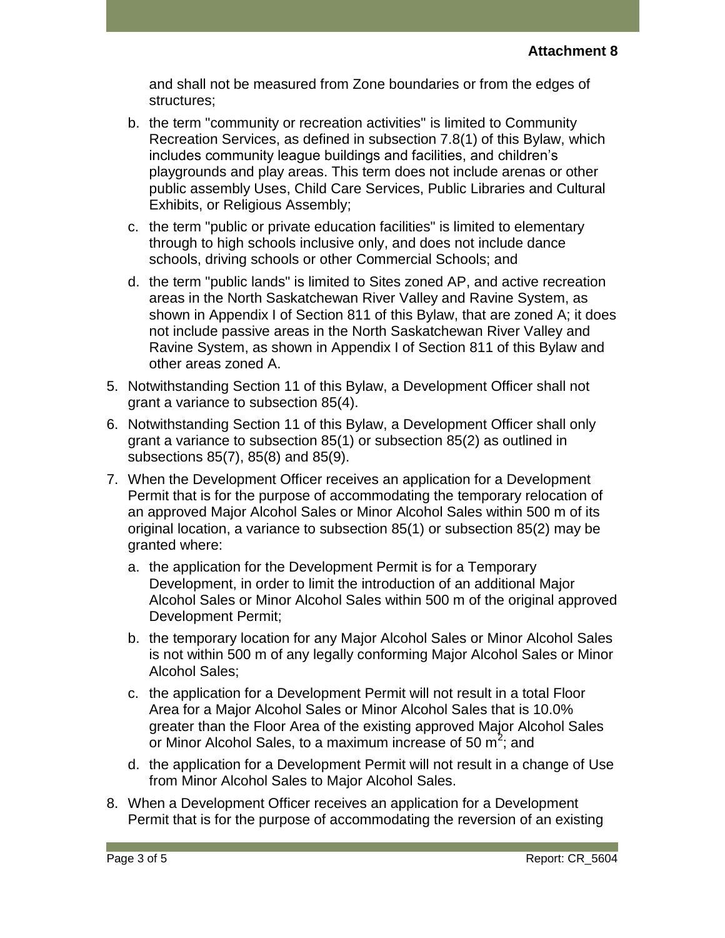and shall not be measured from Zone boundaries or from the edges of structures;

- b. the term "community or recreation activities" is limited to Community Recreation Services, as defined in subsection 7.8(1) of this Bylaw, which includes community league buildings and facilities, and children's playgrounds and play areas. This term does not include arenas or other public assembly Uses, Child Care Services, Public Libraries and Cultural Exhibits, or Religious Assembly;
- c. the term "public or private education facilities" is limited to elementary through to high schools inclusive only, and does not include dance schools, driving schools or other Commercial Schools; and
- d. the term "public lands" is limited to Sites zoned AP, and active recreation areas in the North Saskatchewan River Valley and Ravine System, as shown in Appendix I of Section 811 of this Bylaw, that are zoned A; it does not include passive areas in the North Saskatchewan River Valley and Ravine System, as shown in Appendix I of Section 811 of this Bylaw and other areas zoned A.
- 5. Notwithstanding Section 11 of this Bylaw, a Development Officer shall not grant a variance to subsection 85(4).
- 6. Notwithstanding Section 11 of this Bylaw, a Development Officer shall only grant a variance to subsection 85(1) or subsection 85(2) as outlined in subsections 85(7), 85(8) and 85(9).
- 7. When the Development Officer receives an application for a Development Permit that is for the purpose of accommodating the temporary relocation of an approved Major Alcohol Sales or Minor Alcohol Sales within 500 m of its original location, a variance to subsection 85(1) or subsection 85(2) may be granted where:
	- a. the application for the Development Permit is for a Temporary Development, in order to limit the introduction of an additional Major Alcohol Sales or Minor Alcohol Sales within 500 m of the original approved Development Permit;
	- b. the temporary location for any Major Alcohol Sales or Minor Alcohol Sales is not within 500 m of any legally conforming Major Alcohol Sales or Minor Alcohol Sales;
	- c. the application for a Development Permit will not result in a total Floor Area for a Major Alcohol Sales or Minor Alcohol Sales that is 10.0% greater than the Floor Area of the existing approved Major Alcohol Sales or Minor Alcohol Sales, to a maximum increase of 50 m<sup>2</sup>; and
	- d. the application for a Development Permit will not result in a change of Use from Minor Alcohol Sales to Major Alcohol Sales.
- 8. When a Development Officer receives an application for a Development Permit that is for the purpose of accommodating the reversion of an existing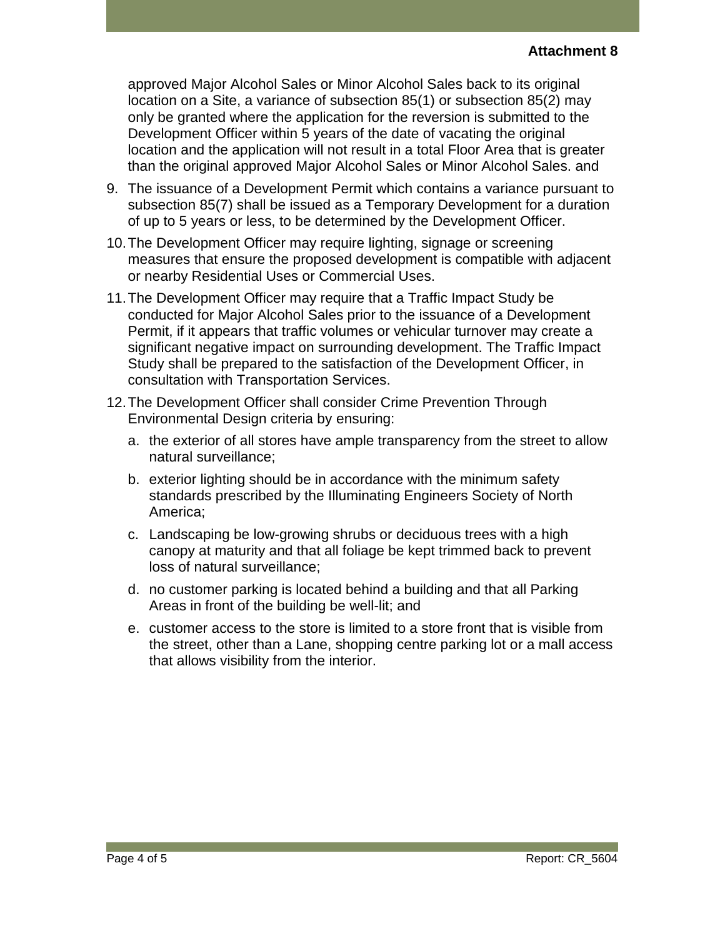approved Major Alcohol Sales or Minor Alcohol Sales back to its original location on a Site, a variance of subsection 85(1) or subsection 85(2) may only be granted where the application for the reversion is submitted to the Development Officer within 5 years of the date of vacating the original location and the application will not result in a total Floor Area that is greater than the original approved Major Alcohol Sales or Minor Alcohol Sales. and

- 9. The issuance of a Development Permit which contains a variance pursuant to subsection 85(7) shall be issued as a Temporary Development for a duration of up to 5 years or less, to be determined by the Development Officer.
- 10.The Development Officer may require lighting, signage or screening measures that ensure the proposed development is compatible with adjacent or nearby Residential Uses or Commercial Uses.
- 11.The Development Officer may require that a Traffic Impact Study be conducted for Major Alcohol Sales prior to the issuance of a Development Permit, if it appears that traffic volumes or vehicular turnover may create a significant negative impact on surrounding development. The Traffic Impact Study shall be prepared to the satisfaction of the Development Officer, in consultation with Transportation Services.
- 12.The Development Officer shall consider Crime Prevention Through Environmental Design criteria by ensuring:
	- a. the exterior of all stores have ample transparency from the street to allow natural surveillance;
	- b. exterior lighting should be in accordance with the minimum safety standards prescribed by the Illuminating Engineers Society of North America;
	- c. Landscaping be low-growing shrubs or deciduous trees with a high canopy at maturity and that all foliage be kept trimmed back to prevent loss of natural surveillance;
	- d. no customer parking is located behind a building and that all Parking Areas in front of the building be well-lit; and
	- e. customer access to the store is limited to a store front that is visible from the street, other than a Lane, shopping centre parking lot or a mall access that allows visibility from the interior.